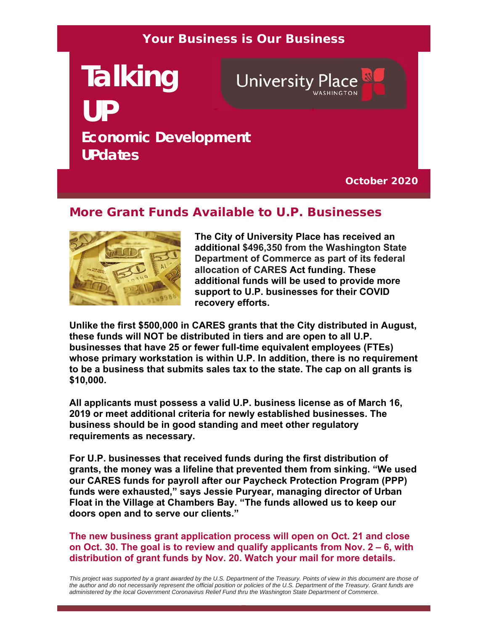### **Your Business is Our Business**

# **Talking University Place UP Economic Development UPdates**

**October 2020**

#### **More Grant Funds Available to U.P. Businesses**



**The City of University Place has received an additional \$496,350 from the Washington State Department of Commerce as part of its federal allocation of CARES Act funding. These additional funds will be used to provide more support to U.P. businesses for their COVID recovery efforts.**

**Unlike the first \$500,000 in CARES grants that the City distributed in August, these funds will NOT be distributed in tiers and are open to all U.P. businesses that have 25 or fewer full-time equivalent employees (FTEs) whose primary workstation is within U.P. In addition, there is no requirement to be a business that submits sales tax to the state. The cap on all grants is \$10,000.** 

**All applicants must possess a valid U.P. business license as of March 16, 2019 or meet additional criteria for newly established businesses. The business should be in good standing and meet other regulatory requirements as necessary.** 

**For U.P. businesses that received funds during the first distribution of grants, the money was a lifeline that prevented them from sinking. "We used our CARES funds for payroll after our Paycheck Protection Program (PPP) funds were exhausted," says Jessie Puryear, managing director of Urban Float in the Village at Chambers Bay. "The funds allowed us to keep our doors open and to serve our clients."**

**The new business grant application process will open on Oct. 21 and close on Oct. 30. The goal is to review and qualify applicants from Nov. 2 – 6, with distribution of grant funds by Nov. 20. Watch your mail for more details.**

This project was supported by a grant awarded by the U.S. Department of the Treasury. Points of view in this document are those of the author and do not necessarily represent the official position or policies of the U.S. Department of the Treasury. Grant funds are *administered by the local Government Coronavirus Relief Fund thru the Washington State Department of Commerce.*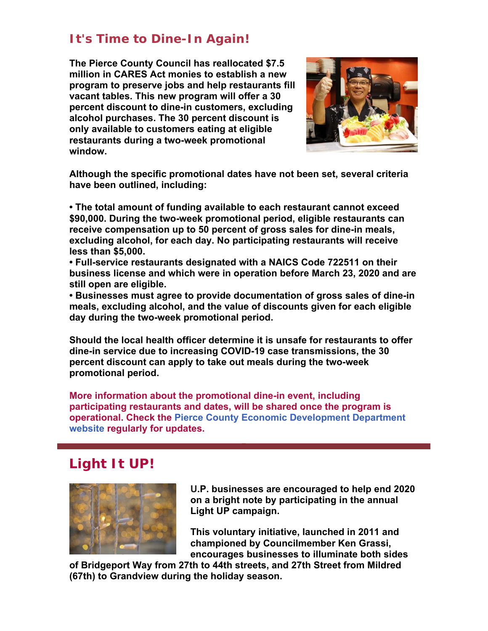## **It's Time to Dine-In Again!**

**The Pierce County Council has reallocated \$7.5 million in CARES Act monies to establish a new program to preserve jobs and help restaurants fill vacant tables. This new program will offer a 30 percent discount to dine-in customers, excluding alcohol purchases. The 30 percent discount is only available to customers eating at eligible restaurants during a two-week promotional window.** 



**Although the specific promotional dates have not been set, several criteria have been outlined, including:** 

**• The total amount of funding available to each restaurant cannot exceed \$90,000. During the two-week promotional period, eligible restaurants can receive compensation up to 50 percent of gross sales for dine-in meals, excluding alcohol, for each day. No participating restaurants will receive less than \$5,000.**

**• Full-service restaurants designated with a NAICS Code 722511 on their business license and which were in operation before March 23, 2020 and are still open are eligible.**

**• Businesses must agree to provide documentation of gross sales of dine-in meals, excluding alcohol, and the value of discounts given for each eligible day during the two-week promotional period.**

**Should the local health officer determine it is unsafe for restaurants to offer dine-in service due to increasing COVID-19 case transmissions, the 30 percent discount can apply to take out meals during the two-week promotional period.** 

**More information about the promotional dine-in event, including participating restaurants and dates, will be shared once the program is operational. Check the Pierce County Economic Development Department website regularly for updates.**

# **Light It UP!**



**U.P. businesses are encouraged to help end 2020 on a bright note by participating in the annual Light UP campaign.**

**This voluntary initiative, launched in 2011 and championed by Councilmember Ken Grassi, encourages businesses to illuminate both sides** 

**of Bridgeport Way from 27th to 44th streets, and 27th Street from Mildred (67th) to Grandview during the holiday season.**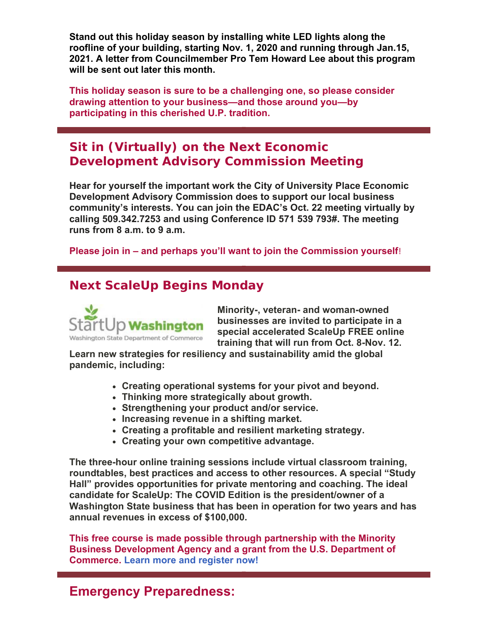**Stand out this holiday season by installing white LED lights along the roofline of your building, starting Nov. 1, 2020 and running through Jan.15, 2021. A letter from Councilmember Pro Tem Howard Lee about this program will be sent out later this month.**

**This holiday season is sure to be a challenging one, so please consider drawing attention to your business—and those around you—by participating in this cherished U.P. tradition.** 

## **Sit in (Virtually) on the Next Economic Development Advisory Commission Meeting**

**Hear for yourself the important work the City of University Place Economic Development Advisory Commission does to support our local business community's interests. You can join the EDAC's Oct. 22 meeting virtually by calling 509.342.7253 and using Conference ID 571 539 793#. The meeting runs from 8 a.m. to 9 a.m.**

**Please join in – and perhaps you'll want to join the Commission yourself**!

### **Next ScaleUp Begins Monday**



**Minority-, veteran- and woman-owned businesses are invited to participate in a special accelerated ScaleUp FREE online training that will run from Oct. 8-Nov. 12.** 

**Learn new strategies for resiliency and sustainability amid the global pandemic, including:** 

- **Creating operational systems for your pivot and beyond.**
- **Thinking more strategically about growth.**
- **Strengthening your product and/or service.**
- **Increasing revenue in a shifting market.**
- **Creating a profitable and resilient marketing strategy.**
- **Creating your own competitive advantage.**

**The three-hour online training sessions include virtual classroom training, roundtables, best practices and access to other resources. A special "Study Hall" provides opportunities for private mentoring and coaching. The ideal candidate for ScaleUp: The COVID Edition is the president/owner of a Washington State business that has been in operation for two years and has annual revenues in excess of \$100,000.**

**This free course is made possible through partnership with the Minority Business Development Agency and a grant from the U.S. Department of Commerce. Learn more and register now!**

## **Emergency Preparedness:**